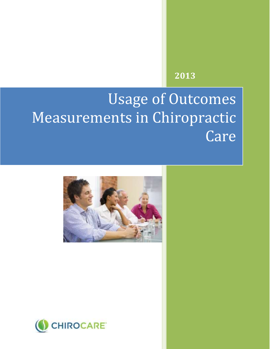# **2013**

# Usage of Outcomes Measurements in Chiropractic Care



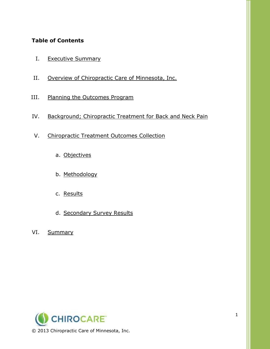# **Table of Contents**

- I. Executive Summary
- II. Overview of Chiropractic Care of Minnesota, Inc.
- III. Planning the Outcomes Program
- IV. Background; Chiropractic Treatment for Back and Neck Pain
- V. Chiropractic Treatment Outcomes Collection
	- a. Objectives
	- b. Methodology
	- c. Results
	- d. Secondary Survey Results
- VI. Summary

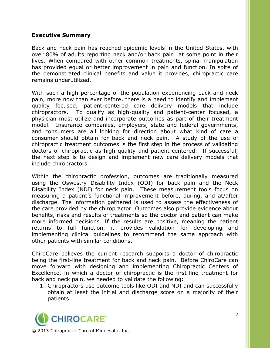#### **Executive Summary**

Back and neck pain has reached epidemic levels in the United States, with over 80% of adults reporting neck and/or back pain at some point in their lives. When compared with other common treatments, spinal manipulation has provided equal or better improvement in pain and function. In spite of the demonstrated clinical benefits and value it provides, chiropractic care remains underutilized.

With such a high percentage of the population experiencing back and neck pain, more now than ever before, there is a need to identify and implement quality focused, patient-centered care delivery models that include chiropractors. To qualify as high-quality and patient-center focused, a physician must utilize and incorporate outcomes as part of their treatment model. Insurance companies, employers, state and federal governments, and consumers are all looking for direction about what kind of care a consumer should obtain for back and neck pain. A study of the use of chiropractic treatment outcomes is the first step in the process of validating doctors of chiropractic as high-quality and patient-centered. If successful, the next step is to design and implement new care delivery models that include chiropractors.

Within the chiropractic profession, outcomes are traditionally measured using the Oswestry Disability Index (ODI) for back pain and the Neck Disability Index (NDI) for neck pain. These measurement tools focus on measuring a patient's functional improvement before, during, and at/after discharge. The information gathered is used to assess the effectiveness of the care provided by the chiropractor. Outcomes also provide evidence about benefits, risks and results of treatments so the doctor and patient can make more informed decisions. If the results are positive, meaning the patient returns to full function, it provides validation for developing and implementing clinical guidelines to recommend the same approach with other patients with similar conditions.

ChiroCare believes the current research supports a doctor of chiropractic being the first-line treatment for back and neck pain. Before ChiroCare can move forward with designing and implementing Chiropractic Centers of Excellence, in which a doctor of chiropractic is the first-line treatment for back and neck pain, we needed to validate the following:

1. Chiropractors use outcome tools like ODI and NDI and can successfully obtain at least the initial and discharge score on a majority of their patients.

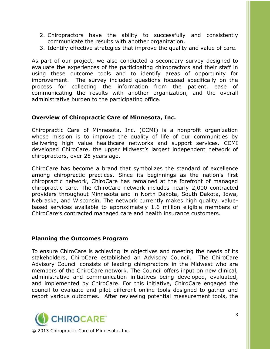- 2. Chiropractors have the ability to successfully and consistently communicate the results with another organization.
- 3. Identify effective strategies that improve the quality and value of care.

As part of our project, we also conducted a secondary survey designed to evaluate the experiences of the participating chiropractors and their staff in using these outcome tools and to identify areas of opportunity for improvement. The survey included questions focused specifically on the process for collecting the information from the patient, ease of communicating the results with another organization, and the overall administrative burden to the participating office.

#### **Overview of Chiropractic Care of Minnesota, Inc.**

Chiropractic Care of Minnesota, Inc. (CCMI) is a nonprofit organization whose mission is to improve the quality of life of our communities by delivering high value healthcare networks and support services. CCMI developed ChiroCare, the upper Midwest's largest independent network of chiropractors, over 25 years ago.

ChiroCare has become a brand that symbolizes the standard of excellence among chiropractic practices. Since its beginnings as the nation's first chiropractic network, ChiroCare has remained at the forefront of managed chiropractic care. The ChiroCare network includes nearly 2,000 contracted providers throughout Minnesota and in North Dakota, South Dakota, Iowa, Nebraska, and Wisconsin. The network currently makes high quality, valuebased services available to approximately 1.6 million eligible members of ChiroCare's contracted managed care and health insurance customers.

#### **Planning the Outcomes Program**

To ensure ChiroCare is achieving its objectives and meeting the needs of its stakeholders, ChiroCare established an Advisory Council. The ChiroCare Advisory Council consists of leading chiropractors in the Midwest who are members of the ChiroCare network. The Council offers input on new clinical, administrative and communication initiatives being developed, evaluated, and implemented by ChiroCare. For this initiative, ChiroCare engaged the council to evaluate and pilot different online tools designed to gather and report various outcomes. After reviewing potential measurement tools, the

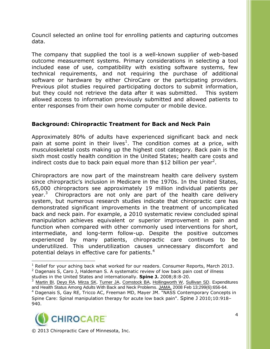Council selected an online tool for enrolling patients and capturing outcomes data.

The company that supplied the tool is a well-known supplier of web-based outcome measurement systems. Primary considerations in selecting a tool included ease of use, compatibility with existing software systems, few technical requirements, and not requiring the purchase of additional software or hardware by either ChiroCare or the participating providers. Previous pilot studies required participating doctors to submit information, but they could not retrieve the data after it was submitted. This system allowed access to information previously submitted and allowed patients to enter responses from their own home computer or mobile device.

# **Background: Chiropractic Treatment for Back and Neck Pain**

Approximately 80% of adults have experienced significant back and neck pain at some point in their lives<sup>1</sup>. The condition comes at a price, with musculoskeletal costs making up the highest cost category. Back pain is the sixth most costly health condition in the United States; health care costs and indirect costs due to back pain equal more than \$12 billion per year<sup>2</sup>.

Chiropractors are now part of the mainstream health care delivery system since chiropractic's inclusion in Medicare in the 1970s. In the United States, 65,000 chiropractors see approximately 19 million individual patients per year.<sup>3</sup> Chiropractors are not only are part of the health care delivery system, but numerous research studies indicate that chiropractic care has demonstrated significant improvements in the treatment of uncomplicated back and neck pain. For example, a 2010 systematic review concluded spinal manipulation achieves equivalent or superior improvement in pain and function when compared with other commonly used interventions for short, intermediate, and long-term follow-up. Despite the positive outcomes experienced by many patients, chiropractic care continues to be underutilized. This underutilization causes unnecessary discomfort and potential delays in effective care for patients.<sup>4</sup>

<sup>3</sup> [Martin BI,](http://www.ncbi.nlm.nih.gov/pubmed?term=Martin%20BI%5BAuthor%5D&cauthor=true&cauthor_uid=18270354) [Deyo RA,](http://www.ncbi.nlm.nih.gov/pubmed?term=Deyo%20RA%5BAuthor%5D&cauthor=true&cauthor_uid=18270354) [Mirza SK,](http://www.ncbi.nlm.nih.gov/pubmed?term=Mirza%20SK%5BAuthor%5D&cauthor=true&cauthor_uid=18270354) [Turner JA,](http://www.ncbi.nlm.nih.gov/pubmed?term=Turner%20JA%5BAuthor%5D&cauthor=true&cauthor_uid=18270354) [Comstock BA,](http://www.ncbi.nlm.nih.gov/pubmed?term=Comstock%20BA%5BAuthor%5D&cauthor=true&cauthor_uid=18270354) [Hollingworth W,](http://www.ncbi.nlm.nih.gov/pubmed?term=Hollingworth%20W%5BAuthor%5D&cauthor=true&cauthor_uid=18270354) [Sullivan SD.](http://www.ncbi.nlm.nih.gov/pubmed?term=Sullivan%20SD%5BAuthor%5D&cauthor=true&cauthor_uid=18270354) Expenditures and Health Status Among Adults With Back and Neck Problems. [JAMA.](http://www.ncbi.nlm.nih.gov/pubmed/18270354) 2008 Feb 13;299(6):656-64. <sup>4</sup> Dagenais S, Gay RE, Tricco AC, Freeman MD, Mayer JM. "NASS Contemporary Concepts in Spine Care: Spinal manipulation therapy for acute low back pain". [Spine J](http://en.wikipedia.org/wiki/Spine_J) 2010;10:918– 940.



<sup>©</sup> 2013 Chiropractic Care of Minnesota, Inc.

 $\overline{a}$  $<sup>1</sup>$  Relief for your aching back what worked for our readers. Consumer Reports, March 2013.</sup>

<sup>&</sup>lt;sup>2</sup> Dagenais S, Caro J, Haldeman S. A systematic review of low back pain cost of illness studies in the United States and internationally. **Spine J.** 2008;8:8-20.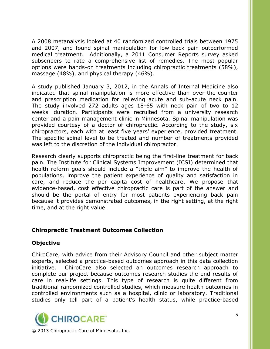A 2008 metanalysis looked at 40 randomized controlled trials between 1975 and 2007, and found spinal manipulation for low back pain outperformed medical treatment. Additionally, a 2011 Consumer Reports survey asked subscribers to rate a comprehensive list of remedies. The most popular options were hands-on treatments including chiropractic treatments (58%), massage (48%), and physical therapy (46%).

A study published January 3, 2012, in the Annals of Internal Medicine also indicated that spinal manipulation is more effective than over-the-counter and prescription medication for relieving acute and sub-acute neck pain. The study involved 272 adults ages 18-65 with neck pain of two to 12 weeks' duration. Participants were recruited from a university research center and a pain management clinic in Minnesota. Spinal manipulation was provided courtesy of a doctor of chiropractic. According to the study, six chiropractors, each with at least five years' experience, provided treatment. The specific spinal level to be treated and number of treatments provided was left to the discretion of the individual chiropractor.

Research clearly supports chiropractic being the first-line treatment for back pain. The Institute for Clinical Systems Improvement (ICSI) determined that health reform goals should include a "triple aim" to improve the health of populations, improve the patient experience of quality and satisfaction in care, and reduce the per capita cost of healthcare. We propose that evidence-based, cost effective chiropractic care is part of the answer and should be the portal of entry for most patients experiencing back pain because it provides demonstrated outcomes, in the right setting, at the right time, and at the right value.

#### **Chiropractic Treatment Outcomes Collection**

# **Objective**

ChiroCare, with advice from their Advisory Council and other subject matter experts, selected a practice-based outcomes approach in this data collection initiative. ChiroCare also selected an outcomes research approach to complete our project because outcomes research studies the end results of care in real-life settings. This type of research is quite different from traditional randomized controlled studies, which measure health outcomes in controlled environments such as a hospital, clinic or laboratory. Traditional studies only tell part of a patient's health status, while practice-based

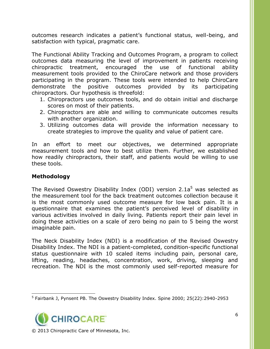outcomes research indicates a patient's functional status, well-being, and satisfaction with typical, pragmatic care.

The Functional Ability Tracking and Outcomes Program, a program to collect outcomes data measuring the level of improvement in patients receiving chiropractic treatment, encouraged the use of functional ability measurement tools provided to the ChiroCare network and those providers participating in the program. These tools were intended to help ChiroCare demonstrate the positive outcomes provided by its participating chiropractors. Our hypothesis is threefold:

- 1. Chiropractors use outcomes tools, and do obtain initial and discharge scores on most of their patients.
- 2. Chiropractors are able and willing to communicate outcomes results with another organization.
- 3. Utilizing outcomes data will provide the information necessary to create strategies to improve the quality and value of patient care.

In an effort to meet our objectives, we determined appropriate measurement tools and how to best utilize them. Further, we established how readily chiropractors, their staff, and patients would be willing to use these tools.

# **Methodology**

The Revised Oswestry Disability Index (ODI) version  $2.1a^5$  was selected as the measurement tool for the back treatment outcomes collection because it is the most commonly used outcome measure for low back pain. It is a questionnaire that examines the patient's perceived level of disability in various activities involved in daily living. Patients report their pain level in doing these activities on a scale of zero being no pain to 5 being the worst imaginable pain.

The Neck Disability Index (NDI) is a modification of the Revised Oswestry Disability Index. The NDI is a patient-completed, condition-specific functional status questionnaire with 10 scaled items including pain, personal care, lifting, reading, headaches, concentration, work, driving, sleeping and recreation. The NDI is the most commonly used self-reported measure for

 $\overline{a}$ 5 Fairbank J, Pynsent PB. The Oswestry Disability Index. Spine 2000; 25(22):2940-2953

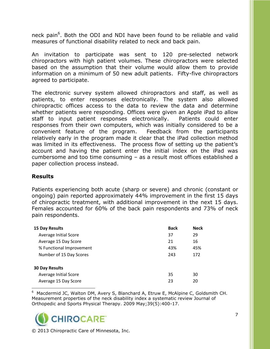neck pain<sup>6</sup>. Both the ODI and NDI have been found to be reliable and valid measures of functional disability related to neck and back pain.

An invitation to participate was sent to 120 pre-selected network chiropractors with high patient volumes. These chiropractors were selected based on the assumption that their volume would allow them to provide information on a minimum of 50 new adult patients. Fifty-five chiropractors agreed to participate.

The electronic survey system allowed chiropractors and staff, as well as patients, to enter responses electronically. The system also allowed chiropractic offices access to the data to review the data and determine whether patients were responding. Offices were given an Apple iPad to allow staff to input patient responses electronically. Patients could enter responses from their own computers, which was initially considered to be a convenient feature of the program. Feedback from the participants relatively early in the program made it clear that the iPad collection method was limited in its effectiveness. The process flow of setting up the patient's account and having the patient enter the initial index on the iPad was cumbersome and too time consuming – as a result most offices established a paper collection process instead.

#### **Results**

Patients experiencing both acute (sharp or severe) and chronic (constant or ongoing) pain reported approximately 44% improvement in the first 15 days of chiropractic treatment, with additional improvement in the next 15 days. Females accounted for 60% of the back pain respondents and 73% of neck pain respondents.

| <b>15 Day Results</b>    | <b>Back</b> | <b>Neck</b> |
|--------------------------|-------------|-------------|
| Average Initial Score    | 37          | 29          |
| Average 15 Day Score     | 21          | 16          |
| % Functional Improvement | 43%         | 45%         |
| Number of 15 Day Scores  | 243         | 172         |
| <b>30 Day Results</b>    |             |             |
| Average Initial Score    | 35          | 30          |
| Average 15 Day Score     | 23          | 20          |

- $6$  Macdermid JC, Walton DM, Avery S, Blanchard A, Etruw E, McAlpine C, Goldsmith CH. Measurement properties of the neck disability index a systematic review Journal of Orthopedic and Sports Physical Therapy. 2009 May;39(5):400-17.

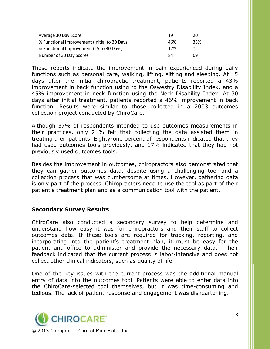| Average 30 Day Score                          | 19  | 20  |
|-----------------------------------------------|-----|-----|
| % Functional Improvement (Initial to 30 Days) | 46% | 33% |
| % Functional Improvement (15 to 30 Days)      | 17% | ∗   |
| Number of 30 Day Scores                       | 84  | 69  |

These reports indicate the improvement in pain experienced during daily functions such as personal care, walking, lifting, sitting and sleeping. At 15 days after the initial chiropractic treatment, patients reported a 43% improvement in back function using to the Oswestry Disability Index, and a 45% improvement in neck function using the Neck Disability Index. At 30 days after initial treatment, patients reported a 46% improvement in back function. Results were similar to those collected in a 2003 outcomes collection project conducted by ChiroCare.

Although 37% of respondents intended to use outcomes measurements in their practices, only 21% felt that collecting the data assisted them in treating their patients. Eighty-one percent of respondents indicated that they had used outcomes tools previously, and 17% indicated that they had not previously used outcomes tools.

Besides the improvement in outcomes, chiropractors also demonstrated that they can gather outcomes data, despite using a challenging tool and a collection process that was cumbersome at times. However, gathering data is only part of the process. Chiropractors need to use the tool as part of their patient's treatment plan and as a communication tool with the patient.

#### **Secondary Survey Results**

ChiroCare also conducted a secondary survey to help determine and understand how easy it was for chiropractors and their staff to collect outcomes data. If these tools are required for tracking, reporting, and incorporating into the patient's treatment plan, it must be easy for the patient and office to administer and provide the necessary data. Their feedback indicated that the current process is labor-intensive and does not collect other clinical indicators, such as quality of life.

One of the key issues with the current process was the additional manual entry of data into the outcomes tool. Patients were able to enter data into the ChiroCare-selected tool themselves, but it was time-consuming and tedious. The lack of patient response and engagement was disheartening.

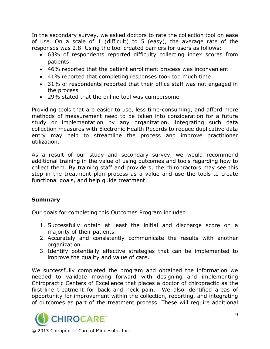In the secondary survey, we asked doctors to rate the collection tool on ease of use. On a scale of 1 (difficult) to 5 (easy), the average rate of the responses was 2.8. Using the tool created barriers for users as follows:

- 63% of respondents reported difficulty collecting index scores from patients
- 46% reported that the patient enrollment process was inconvenient
- 41% reported that completing responses took too much time
- 31% of respondents reported that their office staff was not engaged in the process
- 29% stated that the online tool was cumbersome

Providing tools that are easier to use, less time-consuming, and afford more methods of measurement need to be taken into consideration for a future study or implementation by any organization. Integrating such data collection measures with Electronic Health Records to reduce duplicative data entry may help to streamline the process and improve practitioner utilization.

As a result of our study and secondary survey, we would recommend additional training in the value of using outcomes and tools regarding how to collect them. By training staff and providers, the chiropractors may see this step in the treatment plan process as a value and use the tools to create functional goals, and help guide treatment.

# **Summary**

Our goals for completing this Outcomes Program included:

- 1. Successfully obtain at least the initial and discharge score on a majority of their patients.
- 2. Accurately and consistently communicate the results with another organization.
- 3. Identify potentially effective strategies that can be implemented to improve the quality and value of care.

We successfully completed the program and obtained the information we needed to validate moving forward with designing and implementing Chiropractic Centers of Excellence that places a doctor of chiropractic as the first-line treatment for back and neck pain. We also identified areas of opportunity for improvement within the collection, reporting, and integrating of outcomes as part of the treatment process. These will require additional